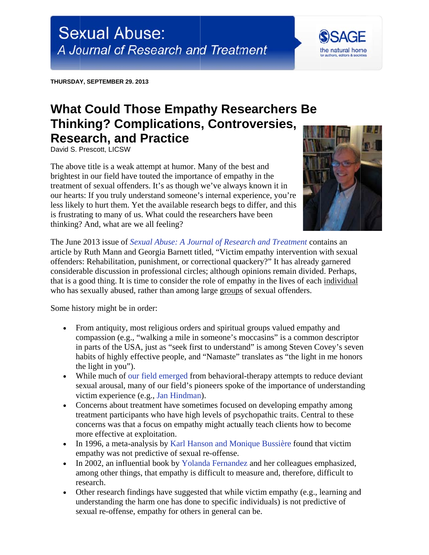THURSDAY, SEPTEMBER 29. 2013

## **What Could Those Empathy Researchers Be Thinking? Complications, Controversies, Research, and Practice**

David S. Prescott, LICSW

The above title is a weak attempt at humor. Many of the best and brightest in our field have touted the importance of empathy in the treatment of sexual offenders. It's as though we've always known it in our hearts: If you truly understand someone's internal experience, you're less likely to hurt them. Yet the available research begs to differ, and this is frustrating to many of us. What could the researchers have been thinking? And, what are we all feeling?



the natural home

The June 2013 issue of Sexual Abuse: A Journal of Research and Treatment contains an article by Ruth Mann and Georgia Barnett titled, "Victim empathy intervention with sexual offenders: Rehabilitation, punishment, or correctional quackery?" It has already garnered considerable discussion in professional circles; although opinions remain divided. Perhaps, that is a good thing. It is time to consider the role of empathy in the lives of each individual who has sexually abused, rather than among large groups of sexual offenders.

Some history might be in order:

- From antiquity, most religious orders and spiritual groups valued empathy and compassion (e.g., "walking a mile in someone's moccasins" is a common descriptor in parts of the USA, just as "seek first to understand" is among Steven Covey's seven habits of highly effective people, and "Namaste" translates as "the light in me honors" the light in you").
- While much of our field emerged from behavioral-therapy attempts to reduce deviant sexual arousal, many of our field's pioneers spoke of the importance of understanding victim experience (e.g., Jan Hindman).
- Concerns about treatment have sometimes focused on developing empathy among treatment participants who have high levels of psychopathic traits. Central to these concerns was that a focus on empathy might actually teach clients how to become more effective at exploitation.
- In 1996, a meta-analysis by Karl Hanson and Monique Bussière found that victim empathy was not predictive of sexual re-offense.
- In 2002, an influential book by Yolanda Fernandez and her colleagues emphasized, among other things, that empathy is difficult to measure and, therefore, difficult to research.
- Other research findings have suggested that while victim empathy (e.g., learning and understanding the harm one has done to specific individuals) is not predictive of sexual re-offense, empathy for others in general can be.